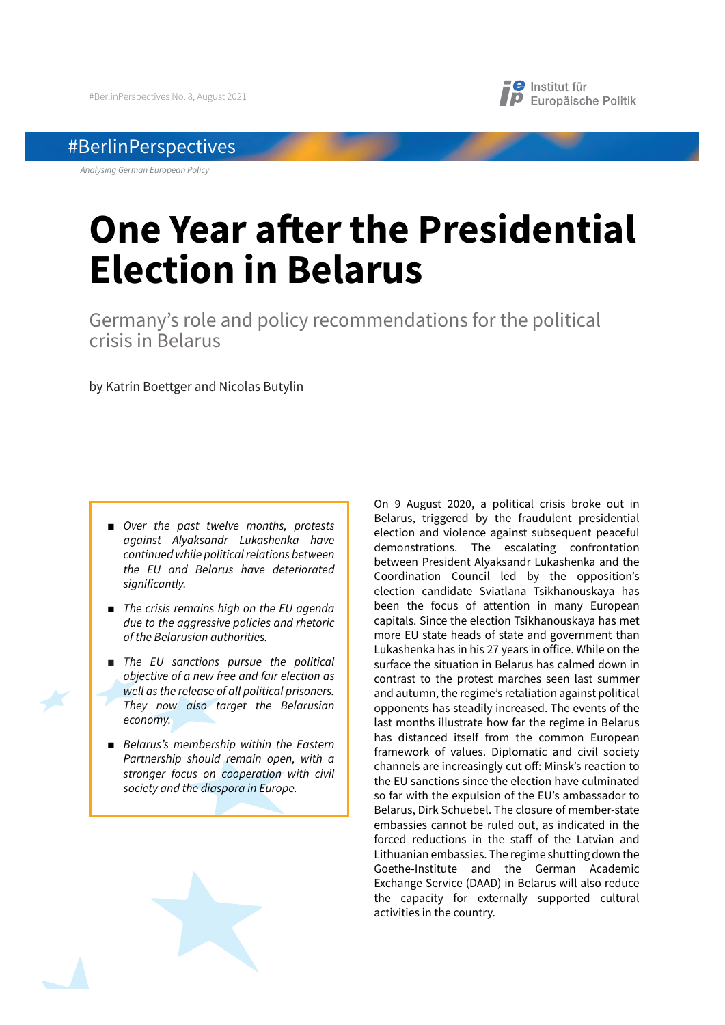## #BerlinPerspectives

*Analysing German European Policy*

## **e** Institut für **D** Europäische Politik

# **One Year after the Presidential Election in Belarus**

Germany's role and policy recommendations for the political crisis in Belarus

by Katrin Boettger and Nicolas Butylin

- *Over the past twelve months, protests against Alyaksandr Lukashenka have continued while political relations between the EU and Belarus have deteriorated significantly.*
- *The crisis remains high on the EU agenda due to the aggressive policies and rhetoric of the Belarusian authorities.*
- *The EU sanctions pursue the political objective of a new free and fair election as well as the release of all political prisoners. They now also target the Belarusian economy.*
- *Belarus's membership within the Eastern Partnership should remain open, with a stronger focus on cooperation with civil society and the diaspora in Europe.*

On 9 August 2020, a political crisis broke out in Belarus, triggered by the fraudulent presidential election and violence against subsequent peaceful demonstrations. The escalating confrontation between President Alyaksandr Lukashenka and the Coordination Council led by the opposition's election candidate Sviatlana Tsikhanouskaya has been the focus of attention in many European capitals. Since the election Tsikhanouskaya has met more EU state heads of state and government than Lukashenka has in his 27 years in office. While on the surface the situation in Belarus has calmed down in contrast to the protest marches seen last summer and autumn, the regime's retaliation against political opponents has steadily increased. The events of the last months illustrate how far the regime in Belarus has distanced itself from the common European framework of values. Diplomatic and civil society channels are increasingly cut off: Minsk's reaction to the EU sanctions since the election have culminated so far with the expulsion of the EU's ambassador to Belarus, Dirk Schuebel. The closure of member-state embassies cannot be ruled out, as indicated in the forced reductions in the staff of the Latvian and Lithuanian embassies. The regime shutting down the Goethe-Institute and the German Academic Exchange Service (DAAD) in Belarus will also reduce the capacity for externally supported cultural activities in the country.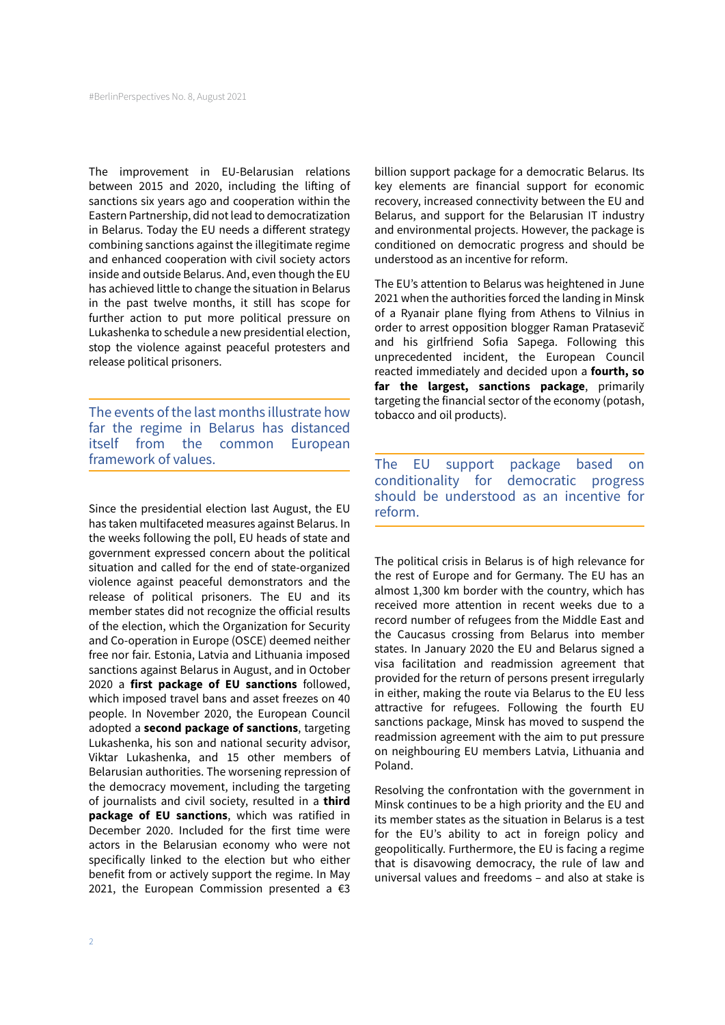The improvement in EU-Belarusian relations between 2015 and 2020, including the lifting of sanctions six years ago and cooperation within the Eastern Partnership, did not lead to democratization in Belarus. Today the EU needs a different strategy combining sanctions against the illegitimate regime and enhanced cooperation with civil society actors inside and outside Belarus. And, even though the EU has achieved little to change the situation in Belarus in the past twelve months, it still has scope for further action to put more political pressure on Lukashenka to schedule a new presidential election, stop the violence against peaceful protesters and release political prisoners.

The events of the last months illustrate how far the regime in Belarus has distanced itself from the common European framework of values.

Since the presidential election last August, the EU has taken multifaceted measures against Belarus. In the weeks following the poll, EU heads of state and government expressed concern about the political situation and called for the end of state-organized violence against peaceful demonstrators and the release of political prisoners. The EU and its member states did not recognize the official results of the election, which the Organization for Security and Co-operation in Europe (OSCE) deemed neither free nor fair. Estonia, Latvia and Lithuania imposed sanctions against Belarus in August, and in October 2020 a **first package of EU sanctions** followed, which imposed travel bans and asset freezes on 40 people. In November 2020, the European Council adopted a **second package of sanctions**, targeting Lukashenka, his son and national security advisor, Viktar Lukashenka, and 15 other members of Belarusian authorities. The worsening repression of the democracy movement, including the targeting of journalists and civil society, resulted in a **third package of EU sanctions**, which was ratified in December 2020. Included for the first time were actors in the Belarusian economy who were not specifically linked to the election but who either benefit from or actively support the regime. In May 2021, the European Commission presented a  $\epsilon$ 3

billion support package for a democratic Belarus. Its key elements are financial support for economic recovery, increased connectivity between the EU and Belarus, and support for the Belarusian IT industry and environmental projects. However, the package is conditioned on democratic progress and should be understood as an incentive for reform.

The EU's attention to Belarus was heightened in June 2021 when the authorities forced the landing in Minsk of a Ryanair plane flying from Athens to Vilnius in order to arrest opposition blogger Raman Pratasevič and his girlfriend Sofia Sapega. Following this unprecedented incident, the European Council reacted immediately and decided upon a **fourth, so far the largest, sanctions package**, primarily targeting the financial sector of the economy (potash, tobacco and oil products).

The EU support package based on conditionality for democratic progress should be understood as an incentive for reform.

The political crisis in Belarus is of high relevance for the rest of Europe and for Germany. The EU has an almost 1,300 km border with the country, which has received more attention in recent weeks due to a record number of refugees from the Middle East and the Caucasus crossing from Belarus into member states. In January 2020 the EU and Belarus signed a visa facilitation and readmission agreement that provided for the return of persons present irregularly in either, making the route via Belarus to the EU less attractive for refugees. Following the fourth EU sanctions package, Minsk has moved to suspend the readmission agreement with the aim to put pressure on neighbouring EU members Latvia, Lithuania and Poland.

Resolving the confrontation with the government in Minsk continues to be a high priority and the EU and its member states as the situation in Belarus is a test for the EU's ability to act in foreign policy and geopolitically. Furthermore, the EU is facing a regime that is disavowing democracy, the rule of law and universal values and freedoms – and also at stake is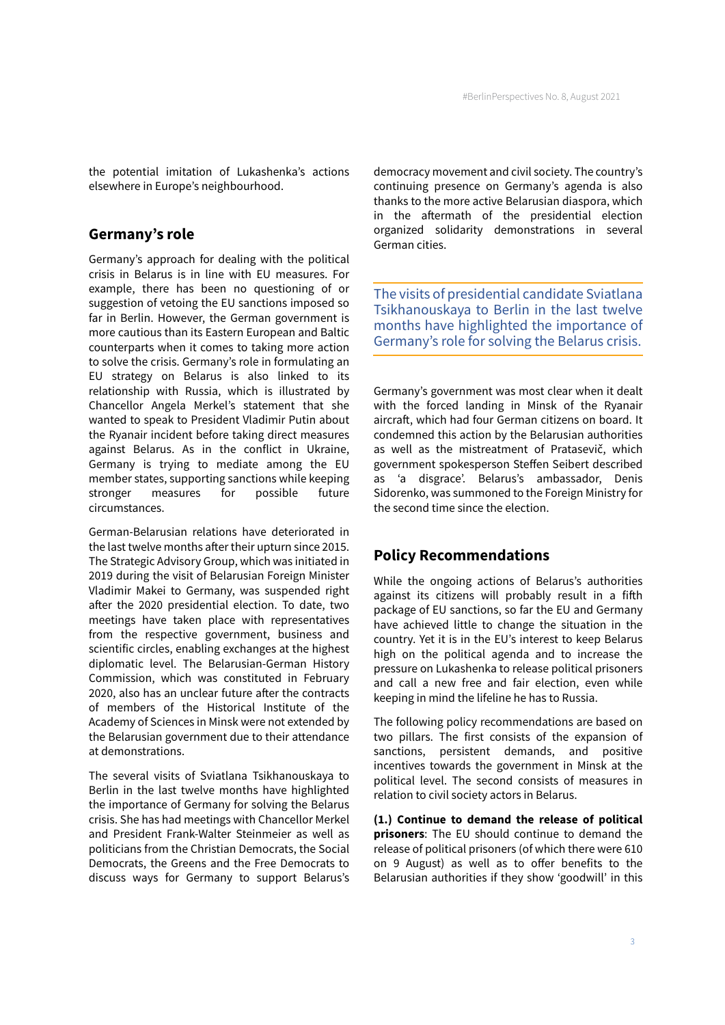the potential imitation of Lukashenka's actions elsewhere in Europe's neighbourhood.

## **Germany's role**

Germany's approach for dealing with the political crisis in Belarus is in line with EU measures. For example, there has been no questioning of or suggestion of vetoing the EU sanctions imposed so far in Berlin. However, the German government is more cautious than its Eastern European and Baltic counterparts when it comes to taking more action to solve the crisis. Germany's role in formulating an EU strategy on Belarus is also linked to its relationship with Russia, which is illustrated by Chancellor Angela Merkel's statement that she wanted to speak to President Vladimir Putin about the Ryanair incident before taking direct measures against Belarus. As in the conflict in Ukraine, Germany is trying to mediate among the EU member states, supporting sanctions while keeping stronger measures for possible future circumstances.

German-Belarusian relations have deteriorated in the last twelve months after their upturn since 2015. The Strategic Advisory Group, which was initiated in 2019 during the visit of Belarusian Foreign Minister Vladimir Makei to Germany, was suspended right after the 2020 presidential election. To date, two meetings have taken place with representatives from the respective government, business and scientific circles, enabling exchanges at the highest diplomatic level. The Belarusian-German History Commission, which was constituted in February 2020, also has an unclear future after the contracts of members of the Historical Institute of the Academy of Sciences in Minsk were not extended by the Belarusian government due to their attendance at demonstrations.

The several visits of Sviatlana Tsikhanouskaya to Berlin in the last twelve months have highlighted the importance of Germany for solving the Belarus crisis. She has had meetings with Chancellor Merkel and President Frank-Walter Steinmeier as well as politicians from the Christian Democrats, the Social Democrats, the Greens and the Free Democrats to discuss ways for Germany to support Belarus's democracy movement and civil society. The country's continuing presence on Germany's agenda is also thanks to the more active Belarusian diaspora, which in the aftermath of the presidential election organized solidarity demonstrations in several German cities.

The visits of presidential candidate Sviatlana Tsikhanouskaya to Berlin in the last twelve months have highlighted the importance of Germany's role for solving the Belarus crisis.

Germany's government was most clear when it dealt with the forced landing in Minsk of the Ryanair aircraft, which had four German citizens on board. It condemned this action by the Belarusian authorities as well as the mistreatment of Pratasevič, which government spokesperson Steffen Seibert described as 'a disgrace'. Belarus's ambassador, Denis Sidorenko, was summoned to the Foreign Ministry for the second time since the election.

## **Policy Recommendations**

While the ongoing actions of Belarus's authorities against its citizens will probably result in a fifth package of EU sanctions, so far the EU and Germany have achieved little to change the situation in the country. Yet it is in the EU's interest to keep Belarus high on the political agenda and to increase the pressure on Lukashenka to release political prisoners and call a new free and fair election, even while keeping in mind the lifeline he has to Russia.

The following policy recommendations are based on two pillars. The first consists of the expansion of sanctions, persistent demands, and positive incentives towards the government in Minsk at the political level. The second consists of measures in relation to civil society actors in Belarus.

**(1.) Continue to demand the release of political prisoners**: The EU should continue to demand the release of political prisoners (of which there were 610 on 9 August) as well as to offer benefits to the Belarusian authorities if they show 'goodwill' in this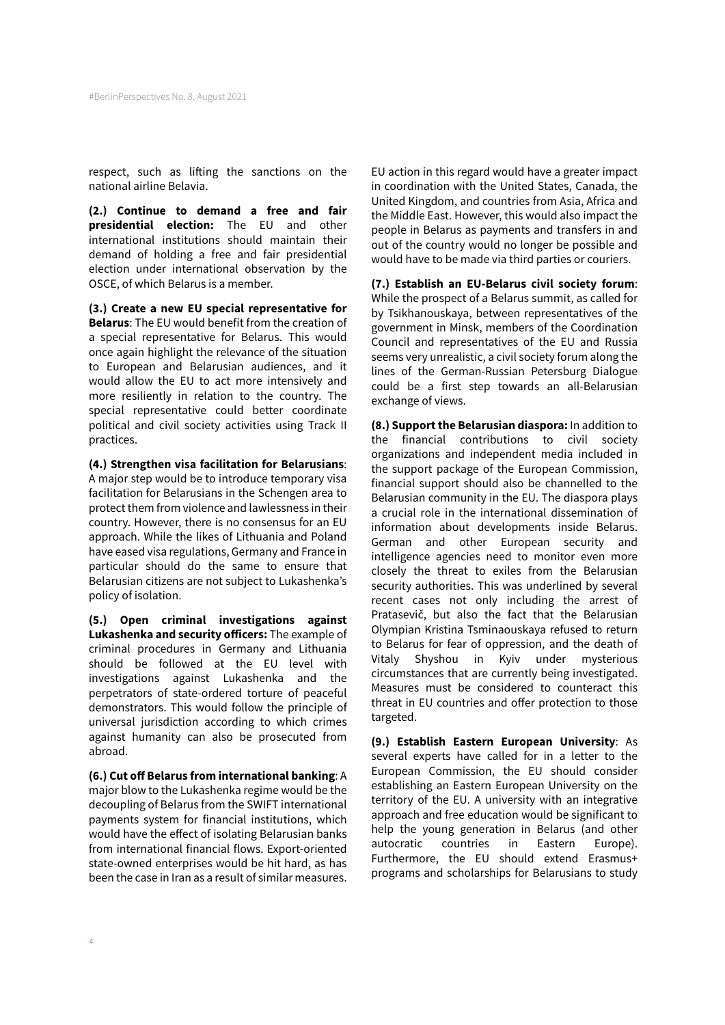respect, such as lifting the sanctions on the national airline Belavia.

**(2.) Continue to demand a free and fair presidential election:** The EU and other international institutions should maintain their demand of holding a free and fair presidential election under international observation by the OSCE, of which Belarus is a member.

**(3.) Create a new EU special representative for Belarus**: The EU would benefit from the creation of a special representative for Belarus. This would once again highlight the relevance of the situation to European and Belarusian audiences, and it would allow the EU to act more intensively and more resiliently in relation to the country. The special representative could better coordinate political and civil society activities using Track II practices.

**(4.) Strengthen visa facilitation for Belarusians**: A major step would be to introduce temporary visa facilitation for Belarusians in the Schengen area to protect them from violence and lawlessness in their country. However, there is no consensus for an EU approach. While the likes of Lithuania and Poland have eased visa regulations, Germany and France in particular should do the same to ensure that Belarusian citizens are not subject to Lukashenka's policy of isolation.

**(5.) Open criminal investigations against Lukashenka and security officers:** The example of criminal procedures in Germany and Lithuania should be followed at the EU level with investigations against Lukashenka and the perpetrators of state-ordered torture of peaceful demonstrators. This would follow the principle of universal jurisdiction according to which crimes against humanity can also be prosecuted from abroad.

**(6.) Cut off Belarus from international banking**: A major blow to the Lukashenka regime would be the decoupling of Belarus from the SWIFT international payments system for financial institutions, which would have the effect of isolating Belarusian banks from international financial flows. Export-oriented state-owned enterprises would be hit hard, as has been the case in Iran as a result of similar measures.

EU action in this regard would have a greater impact in coordination with the United States, Canada, the United Kingdom, and countries from Asia, Africa and the Middle East. However, this would also impact the people in Belarus as payments and transfers in and out of the country would no longer be possible and would have to be made via third parties or couriers.

**(7.) Establish an EU-Belarus civil society forum**: While the prospect of a Belarus summit, as called for by Tsikhanouskaya, between representatives of the government in Minsk, members of the Coordination Council and representatives of the EU and Russia seems very unrealistic, a civil society forum along the lines of the German-Russian Petersburg Dialogue could be a first step towards an all-Belarusian exchange of views.

**(8.) Support the Belarusian diaspora:** In addition to the financial contributions to civil society organizations and independent media included in the support package of the European Commission, financial support should also be channelled to the Belarusian community in the EU. The diaspora plays a crucial role in the international dissemination of information about developments inside Belarus. German and other European security and intelligence agencies need to monitor even more closely the threat to exiles from the Belarusian security authorities. This was underlined by several recent cases not only including the arrest of Pratasevič, but also the fact that the Belarusian Olympian Kristina Tsminaouskaya refused to return to Belarus for fear of oppression, and the death of Vitaly Shyshou in Kyiv under mysterious circumstances that are currently being investigated. Measures must be considered to counteract this threat in EU countries and offer protection to those targeted.

**(9.) Establish Eastern European University**: As several experts have called for in a letter to the European Commission, the EU should consider establishing an Eastern European University on the territory of the EU. A university with an integrative approach and free education would be significant to help the young generation in Belarus (and other autocratic countries in Eastern Europe). Furthermore, the EU should extend Erasmus+ programs and scholarships for Belarusians to study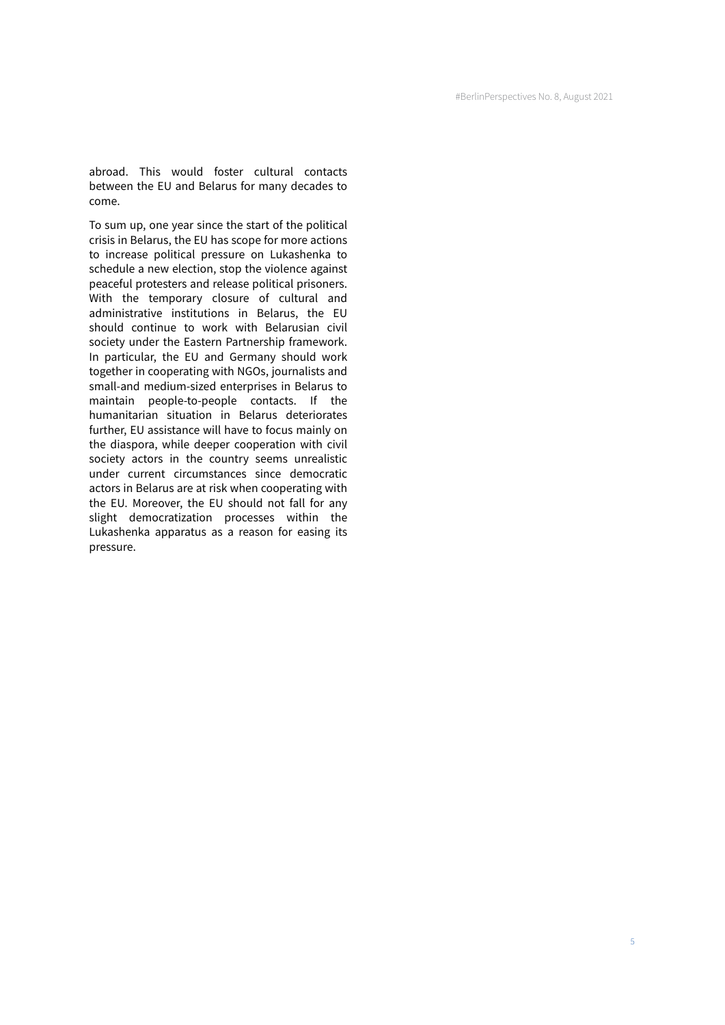abroad. This would foster cultural contacts between the EU and Belarus for many decades to come.

To sum up, one year since the start of the political crisis in Belarus, the EU has scope for more actions to increase political pressure on Lukashenka to schedule a new election, stop the violence against peaceful protesters and release political prisoners. With the temporary closure of cultural and administrative institutions in Belarus, the EU should continue to work with Belarusian civil society under the Eastern Partnership framework. In particular, the EU and Germany should work together in cooperating with NGOs, journalists and small-and medium-sized enterprises in Belarus to maintain people-to-people contacts. If the humanitarian situation in Belarus deteriorates further, EU assistance will have to focus mainly on the diaspora, while deeper cooperation with civil society actors in the country seems unrealistic under current circumstances since democratic actors in Belarus are at risk when cooperating with the EU. Moreover, the EU should not fall for any slight democratization processes within the Lukashenka apparatus as a reason for easing its pressure.